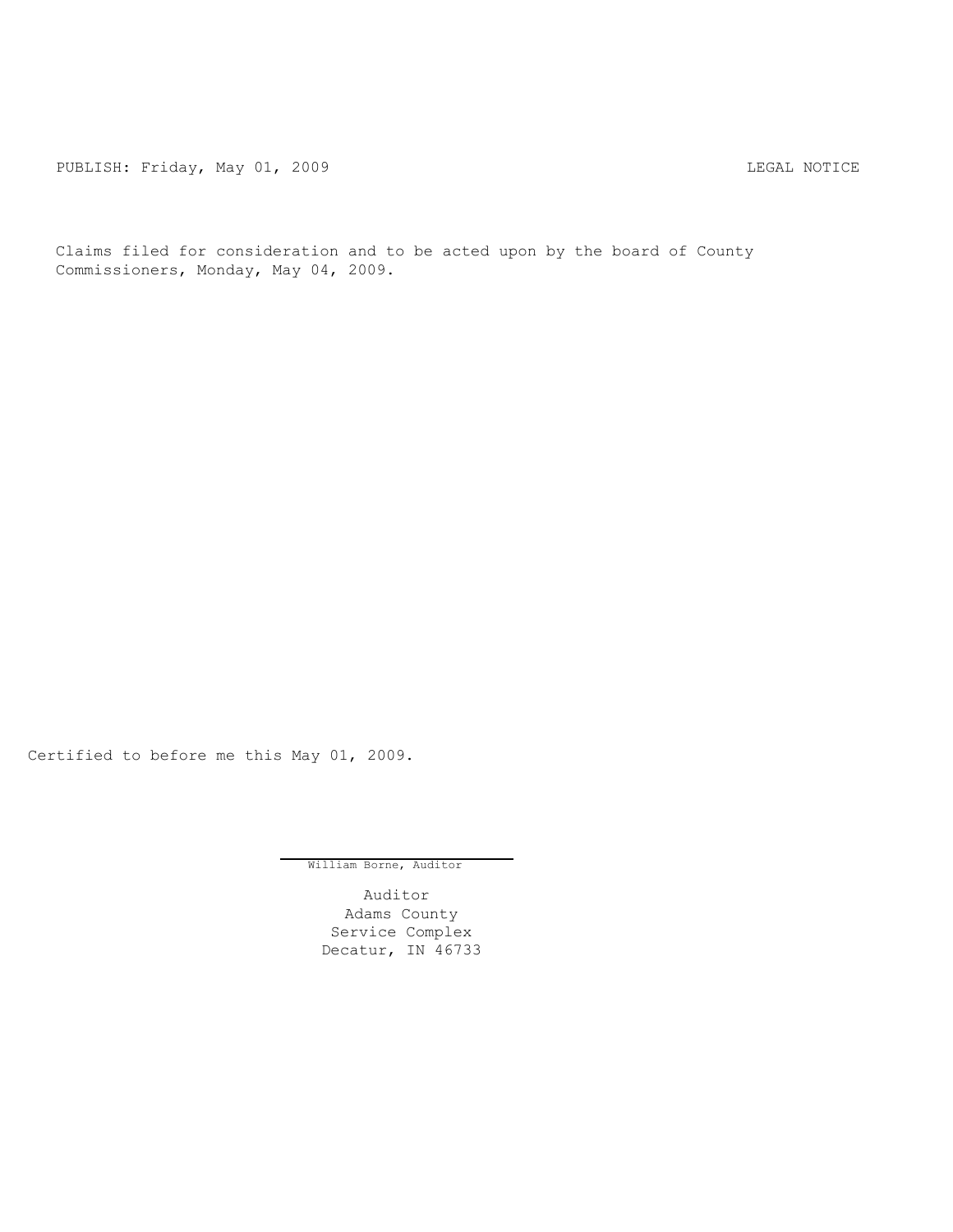PUBLISH: Friday, May 01, 2009 CHA CHANGE CONSTRUCTED AND THE LEGAL NOTICE

Claims filed for consideration and to be acted upon by the board of County Commissioners, Monday, May 04, 2009.

Certified to before me this May 01, 2009.

William Borne, Auditor

Auditor Adams County Service Complex Decatur, IN 46733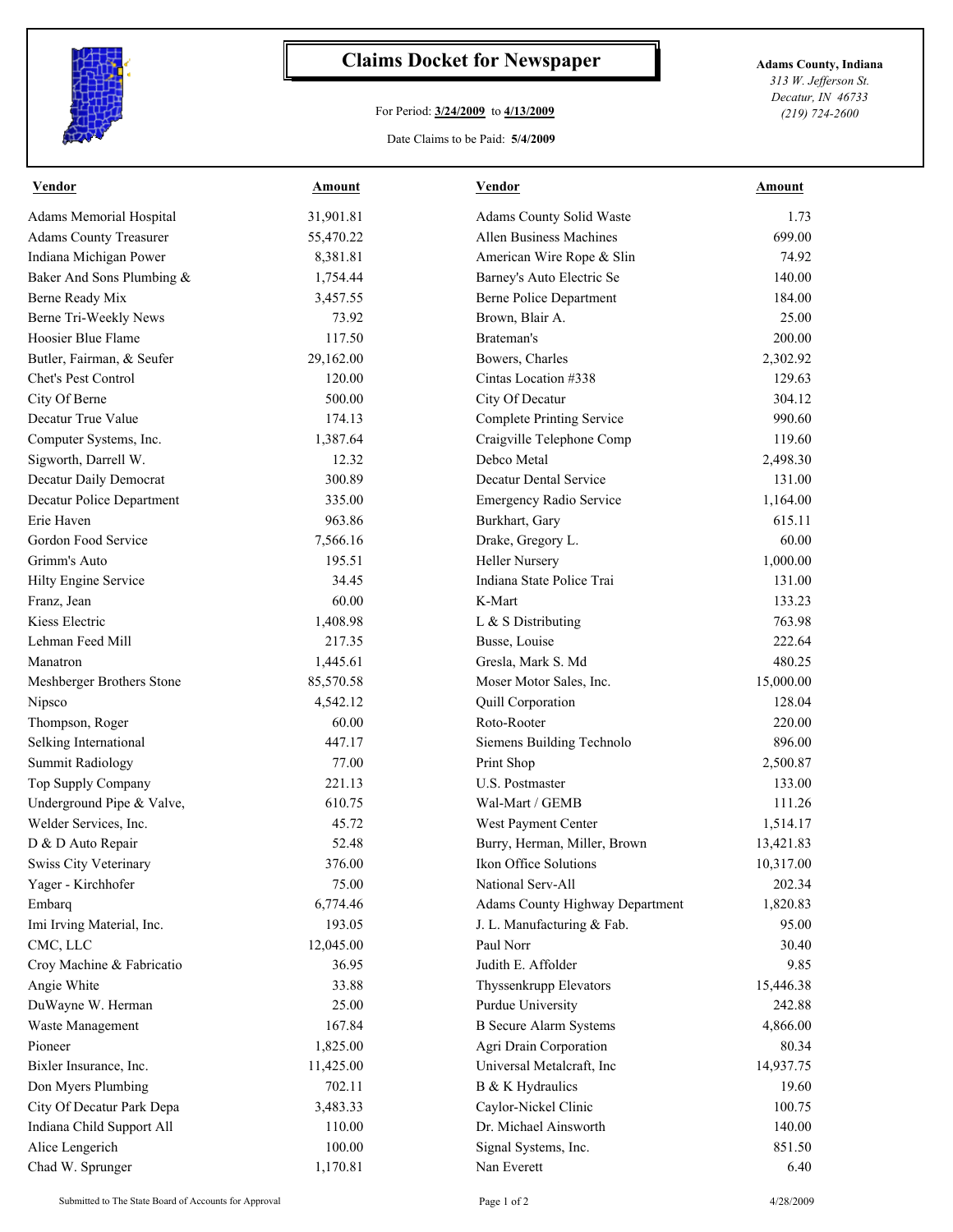

## **Claims Docket for Newspaper Adams County, Indiana**

## For Period: **3/24/2009** to **4/13/2009**

*313 W. Jefferson St. Decatur, IN 46733 (219) 724-2600*

## Date Claims to be Paid: **5/4/2009**

| <b>Vendor</b>                 | <b>Amount</b> | <b>Vendor</b>                          | <b>Amount</b> |
|-------------------------------|---------------|----------------------------------------|---------------|
| Adams Memorial Hospital       | 31,901.81     | Adams County Solid Waste               | 1.73          |
| <b>Adams County Treasurer</b> | 55,470.22     | Allen Business Machines                | 699.00        |
| Indiana Michigan Power        | 8,381.81      | American Wire Rope & Slin              | 74.92         |
| Baker And Sons Plumbing &     | 1,754.44      | Barney's Auto Electric Se              | 140.00        |
| Berne Ready Mix               | 3,457.55      | Berne Police Department                | 184.00        |
| Berne Tri-Weekly News         | 73.92         | Brown, Blair A.                        | 25.00         |
| Hoosier Blue Flame            | 117.50        | Brateman's                             | 200.00        |
| Butler, Fairman, & Seufer     | 29,162.00     | Bowers, Charles                        | 2,302.92      |
| Chet's Pest Control           | 120.00        | Cintas Location #338                   | 129.63        |
| City Of Berne                 | 500.00        | City Of Decatur                        | 304.12        |
| Decatur True Value            | 174.13        | <b>Complete Printing Service</b>       | 990.60        |
| Computer Systems, Inc.        | 1,387.64      | Craigville Telephone Comp              | 119.60        |
| Sigworth, Darrell W.          | 12.32         | Debco Metal                            | 2,498.30      |
| Decatur Daily Democrat        | 300.89        | Decatur Dental Service                 | 131.00        |
| Decatur Police Department     | 335.00        | Emergency Radio Service                | 1,164.00      |
| Erie Haven                    | 963.86        | Burkhart, Gary                         | 615.11        |
| Gordon Food Service           | 7,566.16      | Drake, Gregory L.                      | 60.00         |
| Grimm's Auto                  | 195.51        | <b>Heller Nursery</b>                  | 1,000.00      |
| Hilty Engine Service          | 34.45         | Indiana State Police Trai              | 131.00        |
| Franz, Jean                   | 60.00         | K-Mart                                 | 133.23        |
| Kiess Electric                | 1,408.98      | L & S Distributing                     | 763.98        |
| Lehman Feed Mill              | 217.35        | Busse, Louise                          | 222.64        |
| Manatron                      | 1,445.61      | Gresla, Mark S. Md                     | 480.25        |
| Meshberger Brothers Stone     | 85,570.58     | Moser Motor Sales, Inc.                | 15,000.00     |
| Nipsco                        | 4,542.12      | Quill Corporation                      | 128.04        |
| Thompson, Roger               | 60.00         | Roto-Rooter                            | 220.00        |
| Selking International         | 447.17        | Siemens Building Technolo              | 896.00        |
| <b>Summit Radiology</b>       | 77.00         | Print Shop                             | 2,500.87      |
| Top Supply Company            | 221.13        | U.S. Postmaster                        | 133.00        |
| Underground Pipe & Valve,     | 610.75        | Wal-Mart / GEMB                        | 111.26        |
| Welder Services, Inc.         | 45.72         | West Payment Center                    | 1,514.17      |
| D & D Auto Repair             | 52.48         | Burry, Herman, Miller, Brown           | 13,421.83     |
| <b>Swiss City Veterinary</b>  | 376.00        | Ikon Office Solutions                  | 10,317.00     |
| Yager - Kirchhofer            | 75.00         | National Serv-All                      | 202.34        |
| Embarq                        | 6,774.46      | <b>Adams County Highway Department</b> | 1,820.83      |
| Imi Irving Material, Inc.     | 193.05        | J. L. Manufacturing & Fab.             | 95.00         |
| CMC, LLC                      | 12,045.00     | Paul Norr                              | 30.40         |
| Croy Machine & Fabricatio     | 36.95         | Judith E. Affolder                     | 9.85          |
| Angie White                   | 33.88         | Thyssenkrupp Elevators                 | 15,446.38     |
| DuWayne W. Herman             | 25.00         | Purdue University                      | 242.88        |
| Waste Management              | 167.84        | <b>B</b> Secure Alarm Systems          | 4,866.00      |
| Pioneer                       | 1,825.00      | Agri Drain Corporation                 | 80.34         |
| Bixler Insurance, Inc.        | 11,425.00     | Universal Metalcraft, Inc              | 14,937.75     |
| Don Myers Plumbing            | 702.11        | B & K Hydraulics                       | 19.60         |
| City Of Decatur Park Depa     | 3,483.33      | Caylor-Nickel Clinic                   | 100.75        |
| Indiana Child Support All     | 110.00        | Dr. Michael Ainsworth                  | 140.00        |
| Alice Lengerich               | 100.00        | Signal Systems, Inc.                   | 851.50        |
| Chad W. Sprunger              | 1,170.81      | Nan Everett                            | 6.40          |
|                               |               |                                        |               |